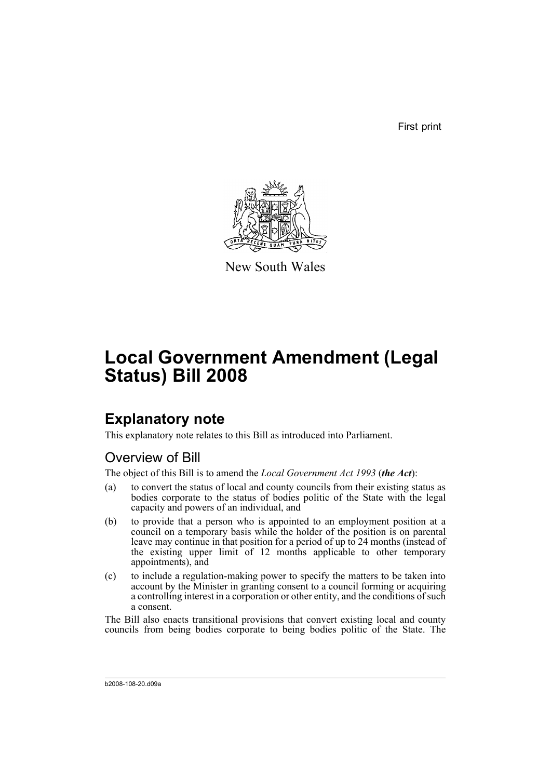First print



New South Wales

# **Local Government Amendment (Legal Status) Bill 2008**

## **Explanatory note**

This explanatory note relates to this Bill as introduced into Parliament.

### Overview of Bill

The object of this Bill is to amend the *Local Government Act 1993* (*the Act*):

- (a) to convert the status of local and county councils from their existing status as bodies corporate to the status of bodies politic of the State with the legal capacity and powers of an individual, and
- (b) to provide that a person who is appointed to an employment position at a council on a temporary basis while the holder of the position is on parental leave may continue in that position for a period of up to 24 months (instead of the existing upper limit of 12 months applicable to other temporary appointments), and
- (c) to include a regulation-making power to specify the matters to be taken into account by the Minister in granting consent to a council forming or acquiring a controlling interest in a corporation or other entity, and the conditions of such a consent.

The Bill also enacts transitional provisions that convert existing local and county councils from being bodies corporate to being bodies politic of the State. The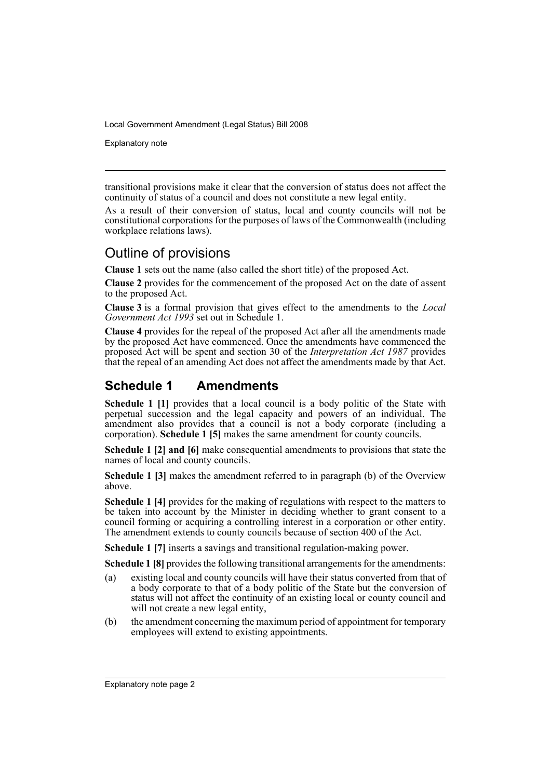Explanatory note

transitional provisions make it clear that the conversion of status does not affect the continuity of status of a council and does not constitute a new legal entity.

As a result of their conversion of status, local and county councils will not be constitutional corporations for the purposes of laws of the Commonwealth (including workplace relations laws).

### Outline of provisions

**Clause 1** sets out the name (also called the short title) of the proposed Act.

**Clause 2** provides for the commencement of the proposed Act on the date of assent to the proposed Act.

**Clause 3** is a formal provision that gives effect to the amendments to the *Local Government Act 1993* set out in Schedule 1.

**Clause 4** provides for the repeal of the proposed Act after all the amendments made by the proposed Act have commenced. Once the amendments have commenced the proposed Act will be spent and section 30 of the *Interpretation Act 1987* provides that the repeal of an amending Act does not affect the amendments made by that Act.

### **Schedule 1 Amendments**

**Schedule 1 [1]** provides that a local council is a body politic of the State with perpetual succession and the legal capacity and powers of an individual. The amendment also provides that a council is not a body corporate (including a corporation). **Schedule 1 [5]** makes the same amendment for county councils.

**Schedule 1 [2] and [6]** make consequential amendments to provisions that state the names of local and county councils.

**Schedule 1 [3]** makes the amendment referred to in paragraph (b) of the Overview above.

**Schedule 1 [4]** provides for the making of regulations with respect to the matters to be taken into account by the Minister in deciding whether to grant consent to a council forming or acquiring a controlling interest in a corporation or other entity. The amendment extends to county councils because of section 400 of the Act.

**Schedule 1 [7]** inserts a savings and transitional regulation-making power.

**Schedule 1 [8]** provides the following transitional arrangements for the amendments:

- (a) existing local and county councils will have their status converted from that of a body corporate to that of a body politic of the State but the conversion of status will not affect the continuity of an existing local or county council and will not create a new legal entity,
- (b) the amendment concerning the maximum period of appointment for temporary employees will extend to existing appointments.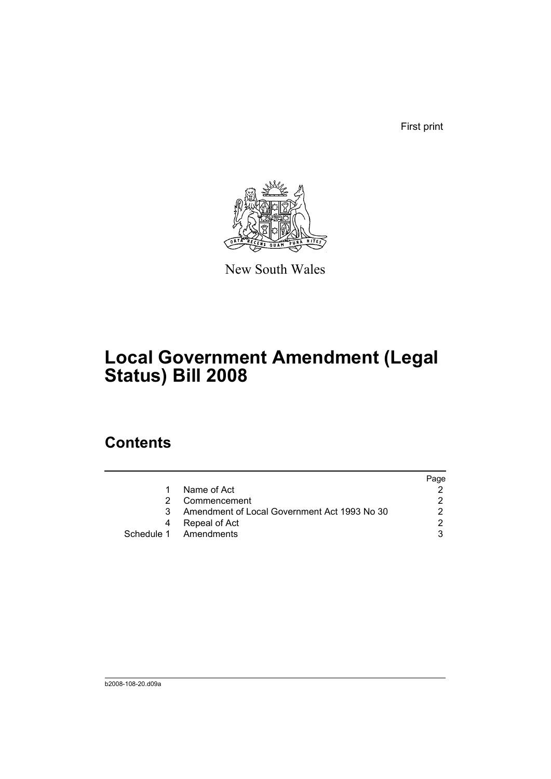First print



New South Wales

# **Local Government Amendment (Legal Status) Bill 2008**

## **Contents**

|                                              | Page |
|----------------------------------------------|------|
| Name of Act                                  |      |
| Commencement                                 |      |
| Amendment of Local Government Act 1993 No 30 |      |
| Repeal of Act                                |      |
| Schedule 1 Amendments                        | 2    |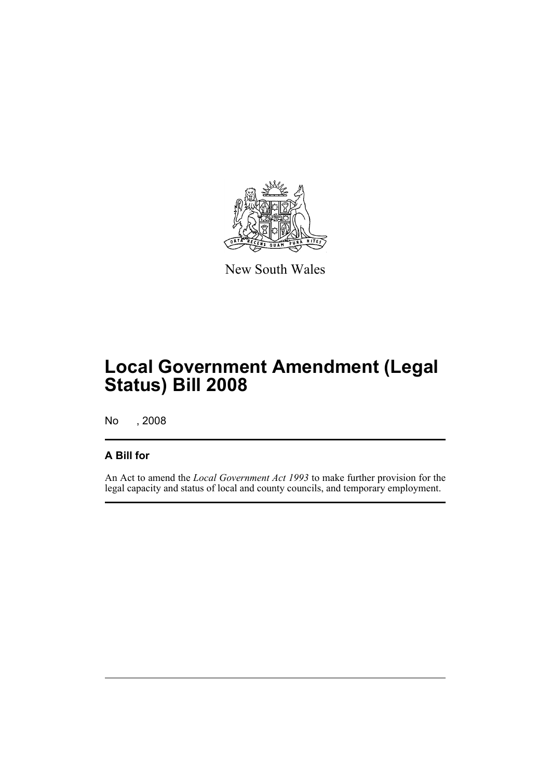

New South Wales

# **Local Government Amendment (Legal Status) Bill 2008**

No , 2008

### **A Bill for**

An Act to amend the *Local Government Act 1993* to make further provision for the legal capacity and status of local and county councils, and temporary employment.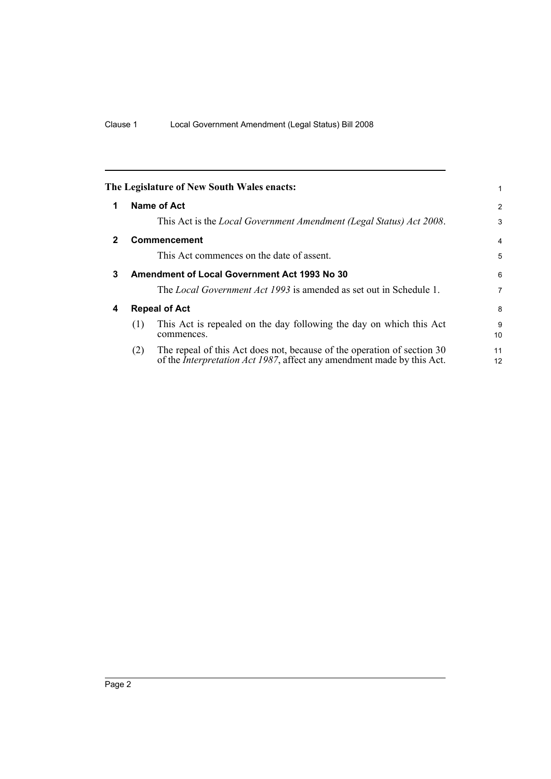<span id="page-5-3"></span><span id="page-5-2"></span><span id="page-5-1"></span><span id="page-5-0"></span>

|              |                      | The Legislature of New South Wales enacts:                                                                                                                |                |
|--------------|----------------------|-----------------------------------------------------------------------------------------------------------------------------------------------------------|----------------|
| 1            |                      | Name of Act                                                                                                                                               | $\overline{2}$ |
|              |                      | This Act is the Local Government Amendment (Legal Status) Act 2008.                                                                                       | 3              |
| $\mathbf{2}$ |                      | Commencement                                                                                                                                              | 4              |
|              |                      | This Act commences on the date of assent.                                                                                                                 | 5              |
| 3            |                      | <b>Amendment of Local Government Act 1993 No 30</b>                                                                                                       | 6              |
|              |                      | The <i>Local Government Act 1993</i> is amended as set out in Schedule 1.                                                                                 | 7              |
| 4            | <b>Repeal of Act</b> |                                                                                                                                                           | 8              |
|              | (1)                  | This Act is repealed on the day following the day on which this Act<br>commences.                                                                         | 9<br>10        |
|              | (2)                  | The repeal of this Act does not, because of the operation of section 30<br>of the <i>Interpretation Act 1987</i> , affect any amendment made by this Act. | 11<br>12       |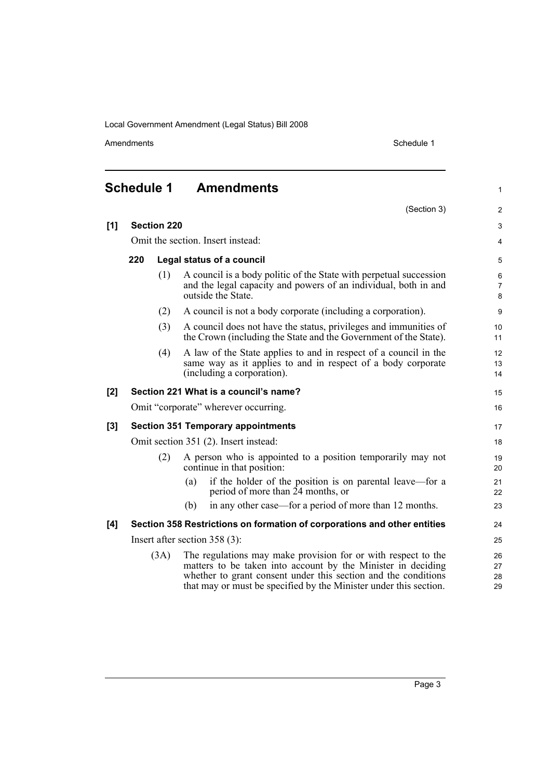Amendments Schedule 1

1

<span id="page-6-0"></span>

| <b>Schedule 1</b> | <b>Amendments</b> |
|-------------------|-------------------|
|-------------------|-------------------|

|       |                                       |                    | (Section 3)                                                                                                                                                                                                                                                          | $\overline{2}$           |
|-------|---------------------------------------|--------------------|----------------------------------------------------------------------------------------------------------------------------------------------------------------------------------------------------------------------------------------------------------------------|--------------------------|
| [1]   |                                       | <b>Section 220</b> |                                                                                                                                                                                                                                                                      | 3                        |
|       | Omit the section. Insert instead:     |                    |                                                                                                                                                                                                                                                                      | 4                        |
|       | 220                                   |                    | Legal status of a council                                                                                                                                                                                                                                            | 5                        |
|       |                                       | (1)                | A council is a body politic of the State with perpetual succession<br>and the legal capacity and powers of an individual, both in and<br>outside the State.                                                                                                          | 6<br>$\overline{7}$<br>8 |
|       |                                       | (2)                | A council is not a body corporate (including a corporation).                                                                                                                                                                                                         | 9                        |
|       |                                       | (3)                | A council does not have the status, privileges and immunities of<br>the Crown (including the State and the Government of the State).                                                                                                                                 | 10<br>11                 |
|       |                                       | (4)                | A law of the State applies to and in respect of a council in the<br>same way as it applies to and in respect of a body corporate<br>(including a corporation).                                                                                                       | 12<br>13<br>14           |
| [2]   |                                       |                    | Section 221 What is a council's name?                                                                                                                                                                                                                                | 15                       |
|       |                                       |                    | Omit "corporate" wherever occurring.                                                                                                                                                                                                                                 | 16                       |
| $[3]$ |                                       |                    | <b>Section 351 Temporary appointments</b>                                                                                                                                                                                                                            | 17                       |
|       | Omit section 351 (2). Insert instead: |                    |                                                                                                                                                                                                                                                                      |                          |
|       |                                       | (2)                | A person who is appointed to a position temporarily may not<br>continue in that position:                                                                                                                                                                            | 19<br>20                 |
|       |                                       |                    | if the holder of the position is on parental leave—for a<br>(a)<br>period of more than $\overline{2}4$ months, or                                                                                                                                                    | 21<br>22                 |
|       |                                       |                    | in any other case—for a period of more than 12 months.<br>(b)                                                                                                                                                                                                        | 23                       |
| [4]   |                                       |                    | Section 358 Restrictions on formation of corporations and other entities                                                                                                                                                                                             | 24                       |
|       |                                       |                    | Insert after section $358(3)$ :                                                                                                                                                                                                                                      | 25                       |
|       |                                       | (3A)               | The regulations may make provision for or with respect to the<br>matters to be taken into account by the Minister in deciding<br>whether to grant consent under this section and the conditions<br>that may or must be specified by the Minister under this section. | 26<br>27<br>28<br>29     |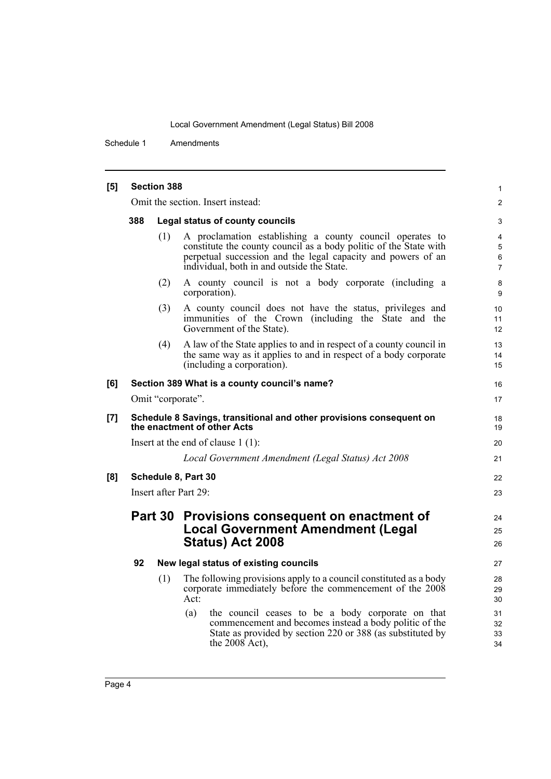Schedule 1 Amendments

| [5] |                                                                                                    | <b>Section 388</b> |                                                                                                                                                                                                                                             | 1                                       |
|-----|----------------------------------------------------------------------------------------------------|--------------------|---------------------------------------------------------------------------------------------------------------------------------------------------------------------------------------------------------------------------------------------|-----------------------------------------|
|     |                                                                                                    |                    | Omit the section. Insert instead:                                                                                                                                                                                                           | $\overline{c}$                          |
|     | 388                                                                                                |                    | Legal status of county councils                                                                                                                                                                                                             | 3                                       |
|     |                                                                                                    | (1)                | A proclamation establishing a county council operates to<br>constitute the county council as a body politic of the State with<br>perpetual succession and the legal capacity and powers of an<br>individual, both in and outside the State. | $\overline{4}$<br>$\mathbf 5$<br>6<br>7 |
|     |                                                                                                    | (2)                | A county council is not a body corporate (including a<br>corporation).                                                                                                                                                                      | 8<br>9                                  |
|     |                                                                                                    | (3)                | A county council does not have the status, privileges and<br>immunities of the Crown (including the State and the<br>Government of the State).                                                                                              | 10<br>11<br>12                          |
|     |                                                                                                    | (4)                | A law of the State applies to and in respect of a county council in<br>the same way as it applies to and in respect of a body corporate<br>(including a corporation).                                                                       | 13<br>14<br>15                          |
| [6] |                                                                                                    |                    | Section 389 What is a county council's name?                                                                                                                                                                                                | 16                                      |
|     | Omit "corporate".                                                                                  |                    |                                                                                                                                                                                                                                             | 17                                      |
| [7] | Schedule 8 Savings, transitional and other provisions consequent on<br>the enactment of other Acts |                    |                                                                                                                                                                                                                                             |                                         |
|     |                                                                                                    |                    | Insert at the end of clause $1(1)$ :                                                                                                                                                                                                        | 20                                      |
|     |                                                                                                    |                    | Local Government Amendment (Legal Status) Act 2008                                                                                                                                                                                          | 21                                      |
| [8] | Schedule 8, Part 30                                                                                |                    |                                                                                                                                                                                                                                             |                                         |
|     | Insert after Part 29:                                                                              |                    |                                                                                                                                                                                                                                             |                                         |
|     |                                                                                                    | <b>Part 30</b>     | Provisions consequent on enactment of<br><b>Local Government Amendment (Legal</b><br>Status) Act 2008                                                                                                                                       | 24<br>25<br>26                          |
|     | 92                                                                                                 |                    | New legal status of existing councils                                                                                                                                                                                                       | 27                                      |
|     |                                                                                                    | (1)                | The following provisions apply to a council constituted as a body<br>corporate immediately before the commencement of the 2008<br>Act:                                                                                                      | 28<br>29<br>30                          |
|     |                                                                                                    |                    | (a)<br>the council ceases to be a body corporate on that<br>commencement and becomes instead a body politic of the<br>State as provided by section 220 or 388 (as substituted by<br>the $2008$ Act),                                        | 31<br>32<br>33<br>34                    |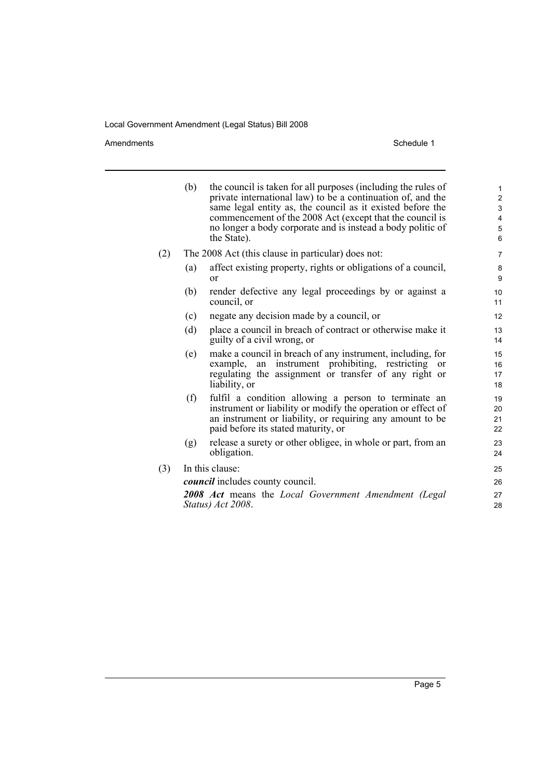Amendments Schedule 1

|     | (b)                                                                       | the council is taken for all purposes (including the rules of<br>private international law) to be a continuation of, and the<br>same legal entity as, the council as it existed before the<br>commencement of the 2008 Act (except that the council is<br>no longer a body corporate and is instead a body politic of<br>the State). | 1<br>$\overline{\mathbf{c}}$<br>3<br>4<br>5<br>$\overline{6}$ |  |  |
|-----|---------------------------------------------------------------------------|--------------------------------------------------------------------------------------------------------------------------------------------------------------------------------------------------------------------------------------------------------------------------------------------------------------------------------------|---------------------------------------------------------------|--|--|
| (2) | The 2008 Act (this clause in particular) does not:                        |                                                                                                                                                                                                                                                                                                                                      |                                                               |  |  |
|     | (a)                                                                       | affect existing property, rights or obligations of a council,<br>or                                                                                                                                                                                                                                                                  | 8<br>9                                                        |  |  |
|     | (b)                                                                       | render defective any legal proceedings by or against a<br>council, or                                                                                                                                                                                                                                                                | 10<br>11                                                      |  |  |
|     | (c)                                                                       | negate any decision made by a council, or                                                                                                                                                                                                                                                                                            | 12                                                            |  |  |
|     | (d)                                                                       | place a council in breach of contract or otherwise make it<br>guilty of a civil wrong, or                                                                                                                                                                                                                                            | 13<br>14                                                      |  |  |
|     | (e)                                                                       | make a council in breach of any instrument, including, for<br>example, an instrument prohibiting, restricting<br>or<br>regulating the assignment or transfer of any right or<br>liability, or                                                                                                                                        | 15<br>16<br>17<br>18                                          |  |  |
|     | (f)                                                                       | fulfil a condition allowing a person to terminate an<br>instrument or liability or modify the operation or effect of<br>an instrument or liability, or requiring any amount to be<br>paid before its stated maturity, or                                                                                                             | 19<br>20<br>21<br>22                                          |  |  |
|     | (g)                                                                       | release a surety or other obligee, in whole or part, from an<br>obligation.                                                                                                                                                                                                                                                          | 23<br>24                                                      |  |  |
| (3) | In this clause:                                                           |                                                                                                                                                                                                                                                                                                                                      |                                                               |  |  |
|     | <i>council</i> includes county council.                                   |                                                                                                                                                                                                                                                                                                                                      |                                                               |  |  |
|     | 2008 Act means the Local Government Amendment (Legal<br>Status) Act 2008. |                                                                                                                                                                                                                                                                                                                                      |                                                               |  |  |